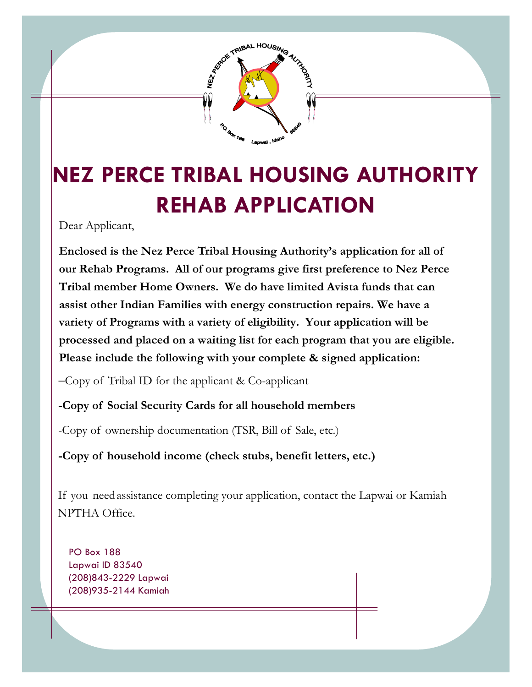

## **NEZ PERCE TRIBAL HOUSING AUTHORITY REHAB APPLICATION**

Dear Applicant,

**Enclosed is the Nez Perce Tribal Housing Authority's application for all of our Rehab Programs. All of our programs give first preference to Nez Perce Tribal member Home Owners. We do have limited Avista funds that can assist other Indian Families with energy construction repairs. We have a variety of Programs with a variety of eligibility. Your application will be processed and placed on a waiting list for each program that you are eligible. Please include the following with your complete & signed application:** 

 $-Copy of Tribal ID for the application  $\& Co-application$$ 

**-Copy of Social Security Cards for all household members**

-Copy of ownership documentation (TSR, Bill of Sale, etc.)

**-Copy of household income (check stubs, benefit letters, etc.)**

If you need assistance completing your application, contact the Lapwai or Kamiah NPTHA Office.

PO Box 188 Lapwai ID 83540 (208)843-2229 Lapwai (208)935-2144 Kamiah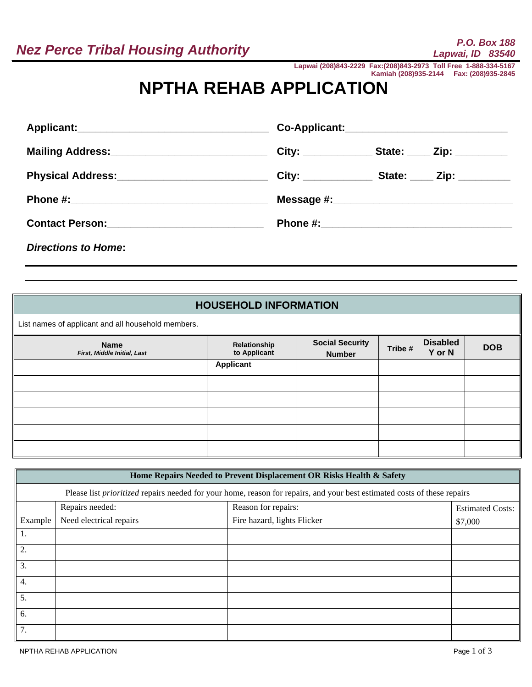**Lapwai (208)843-2229 Fax:(208)843-2973 Toll Free 1-888-334-5167 Kamiah (208)935-2144 Fax: (208)935-2845**

## **NPTHA REHAB APPLICATION**

|                                                  | Co-Applicant:________________________________                     |
|--------------------------------------------------|-------------------------------------------------------------------|
| Mailing Address:________________________________ | City: ______________________ State: _______ Zip: _____________    |
|                                                  | City: _______________________ State: ________ Zip: ______________ |
|                                                  |                                                                   |
| Contact Person: _______________________________  |                                                                   |
| <b>Directions to Home:</b>                       |                                                                   |

## **HOUSEHOLD INFORMATION**

List names of applicant and all household members.

| <b>Name</b><br>First, Middle Initial, Last | Relationship<br>to Applicant | <b>Social Security</b><br><b>Number</b> | Tribe # | <b>Disabled</b><br>Y or N | <b>DOB</b> |
|--------------------------------------------|------------------------------|-----------------------------------------|---------|---------------------------|------------|
|                                            | <b>Applicant</b>             |                                         |         |                           |            |
|                                            |                              |                                         |         |                           |            |
|                                            |                              |                                         |         |                           |            |
|                                            |                              |                                         |         |                           |            |
|                                            |                              |                                         |         |                           |            |
|                                            |                              |                                         |         |                           |            |

|                  |                                                                                                                                 | Home Repairs Needed to Prevent Displacement OR Risks Health & Safety |                         |  |  |  |
|------------------|---------------------------------------------------------------------------------------------------------------------------------|----------------------------------------------------------------------|-------------------------|--|--|--|
|                  | Please list <i>prioritized</i> repairs needed for your home, reason for repairs, and your best estimated costs of these repairs |                                                                      |                         |  |  |  |
|                  | Repairs needed:                                                                                                                 | Reason for repairs:                                                  | <b>Estimated Costs:</b> |  |  |  |
| Example          | Need electrical repairs                                                                                                         | Fire hazard, lights Flicker                                          | \$7,000                 |  |  |  |
| 1.               |                                                                                                                                 |                                                                      |                         |  |  |  |
| 2.               |                                                                                                                                 |                                                                      |                         |  |  |  |
| 3.               |                                                                                                                                 |                                                                      |                         |  |  |  |
| $\overline{4}$ . |                                                                                                                                 |                                                                      |                         |  |  |  |
| 5.               |                                                                                                                                 |                                                                      |                         |  |  |  |
| 6.               |                                                                                                                                 |                                                                      |                         |  |  |  |
| 7.               |                                                                                                                                 |                                                                      |                         |  |  |  |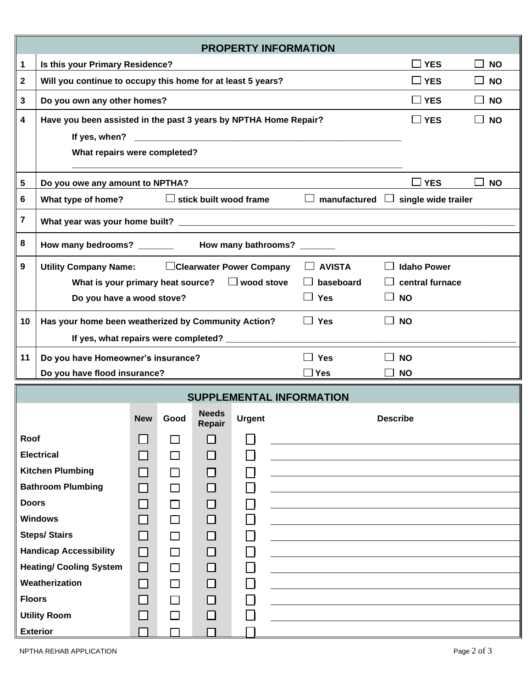|                                                                                                         |                                                                                                                                                                                                                               |                             |        |                           |               |  | <b>PROPERTY INFORMATION</b>                  |                                              |
|---------------------------------------------------------------------------------------------------------|-------------------------------------------------------------------------------------------------------------------------------------------------------------------------------------------------------------------------------|-----------------------------|--------|---------------------------|---------------|--|----------------------------------------------|----------------------------------------------|
| 1                                                                                                       | Is this your Primary Residence?                                                                                                                                                                                               |                             |        |                           |               |  |                                              | $\square$ YES<br><b>NO</b>                   |
| $\mathbf 2$                                                                                             | Will you continue to occupy this home for at least 5 years?                                                                                                                                                                   |                             |        |                           |               |  |                                              | $\square$ YES<br><b>NO</b><br>$\blacksquare$ |
| 3                                                                                                       | Do you own any other homes?                                                                                                                                                                                                   |                             |        |                           |               |  | $\square$ YES<br><b>NO</b><br>$\blacksquare$ |                                              |
| 4                                                                                                       | Have you been assisted in the past 3 years by NPTHA Home Repair?                                                                                                                                                              |                             |        |                           |               |  | $\square$ YES<br><b>NO</b>                   |                                              |
|                                                                                                         | If yes, when?                                                                                                                                                                                                                 |                             |        |                           |               |  |                                              |                                              |
|                                                                                                         | What repairs were completed?                                                                                                                                                                                                  |                             |        |                           |               |  |                                              |                                              |
|                                                                                                         | Do you owe any amount to NPTHA?<br>$\Box$ YES<br>5<br><b>NO</b>                                                                                                                                                               |                             |        |                           |               |  |                                              |                                              |
| $\Box$ stick built wood frame $\Box$ manufactured $\Box$ single wide trailer<br>What type of home?<br>6 |                                                                                                                                                                                                                               |                             |        |                           |               |  |                                              |                                              |
| 7                                                                                                       | What year was your home built? University of the control of the control of the control of the control of the control of the control of the control of the control of the control of the control of the control of the control |                             |        |                           |               |  |                                              |                                              |
| 8                                                                                                       |                                                                                                                                                                                                                               |                             |        |                           |               |  |                                              |                                              |
| 9                                                                                                       | <b>Utility Company Name:</b>                                                                                                                                                                                                  |                             |        | □Clearwater Power Company |               |  | $\Box$ AVISTA                                | <b>Idaho Power</b>                           |
|                                                                                                         | What is your primary heat source? $\Box$ wood stove                                                                                                                                                                           |                             |        |                           |               |  | baseboard<br>$\Box$                          | central furnace                              |
|                                                                                                         | Do you have a wood stove?                                                                                                                                                                                                     |                             |        |                           |               |  | $\Box$ Yes                                   | <b>NO</b>                                    |
| 10                                                                                                      | Has your home been weatherized by Community Action?                                                                                                                                                                           |                             |        |                           |               |  | $\Box$ Yes                                   | <b>NO</b>                                    |
|                                                                                                         | If yes, what repairs were completed? ______________                                                                                                                                                                           |                             |        |                           |               |  |                                              |                                              |
| 11                                                                                                      | Do you have Homeowner's insurance?                                                                                                                                                                                            |                             |        |                           |               |  | $\Box$ Yes                                   | <b>NO</b>                                    |
|                                                                                                         | Do you have flood insurance?                                                                                                                                                                                                  |                             |        |                           |               |  | $\Box$ Yes                                   | <b>NO</b>                                    |
|                                                                                                         |                                                                                                                                                                                                                               |                             |        |                           |               |  | <b>SUPPLEMENTAL INFORMATION</b>              |                                              |
|                                                                                                         |                                                                                                                                                                                                                               | <b>New</b>                  | Good   | <b>Needs</b><br>Repair    | <b>Urgent</b> |  |                                              | <b>Describe</b>                              |
| Roof                                                                                                    |                                                                                                                                                                                                                               | $\sim$                      | П      | ΙI                        |               |  |                                              |                                              |
|                                                                                                         | <b>Electrical</b>                                                                                                                                                                                                             | $\Box$                      | П      | □                         |               |  |                                              |                                              |
|                                                                                                         | <b>Kitchen Plumbing</b>                                                                                                                                                                                                       | $\blacksquare$              | □      | $\Box$                    |               |  |                                              |                                              |
|                                                                                                         | <b>Bathroom Plumbing</b>                                                                                                                                                                                                      | $\Box$                      | □      | $\Box$                    |               |  |                                              |                                              |
| <b>Doors</b>                                                                                            |                                                                                                                                                                                                                               | $\sim$                      | П      | $\Box$                    |               |  |                                              |                                              |
|                                                                                                         | <b>Windows</b>                                                                                                                                                                                                                |                             | $\Box$ | $\Box$                    |               |  |                                              |                                              |
|                                                                                                         | <b>Steps/ Stairs</b>                                                                                                                                                                                                          | $\Box$                      | $\Box$ | $\Box$                    |               |  |                                              |                                              |
|                                                                                                         | <b>Handicap Accessibility</b>                                                                                                                                                                                                 | □                           | $\Box$ | □                         |               |  |                                              |                                              |
|                                                                                                         | <b>Heating/ Cooling System</b>                                                                                                                                                                                                | $\Box$                      | $\Box$ | □                         |               |  |                                              |                                              |
|                                                                                                         | Weatherization                                                                                                                                                                                                                | $\Box$                      | П      | □                         |               |  |                                              |                                              |
| <b>Floors</b>                                                                                           |                                                                                                                                                                                                                               | $\Box$                      | П      | □                         |               |  |                                              |                                              |
|                                                                                                         | <b>Utility Room</b><br><b>Exterior</b>                                                                                                                                                                                        | $\mathcal{L}_{\mathcal{A}}$ | $\Box$ | □                         |               |  |                                              |                                              |